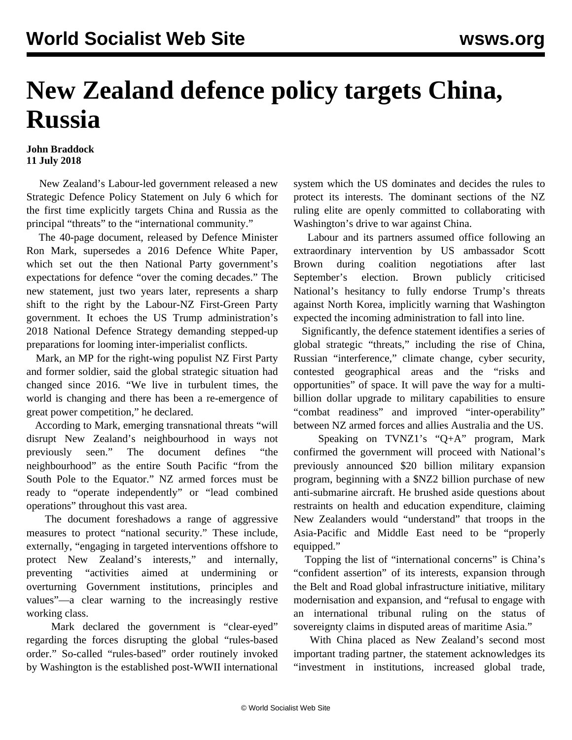## **New Zealand defence policy targets China, Russia**

## **John Braddock 11 July 2018**

 New Zealand's Labour-led government released a new Strategic Defence Policy Statement on July 6 which for the first time explicitly targets China and Russia as the principal "threats" to the "international community."

 The 40-page document, released by Defence Minister Ron Mark, supersedes a 2016 Defence White Paper, which set out the then National Party government's expectations for defence "over the coming decades." The new statement, just two years later, represents a sharp shift to the right by the Labour-NZ First-Green Party government. It echoes the US Trump administration's 2018 National Defence Strategy demanding stepped-up preparations for looming inter-imperialist conflicts.

 Mark, an MP for the right-wing populist NZ First Party and former soldier, said the global strategic situation had changed since 2016. "We live in turbulent times, the world is changing and there has been a re-emergence of great power competition," he declared.

 According to Mark, emerging transnational threats "will disrupt New Zealand's neighbourhood in ways not previously seen." The document defines "the neighbourhood" as the entire South Pacific "from the South Pole to the Equator." NZ armed forces must be ready to "operate independently" or "lead combined operations" throughout this vast area.

 The document foreshadows a range of aggressive measures to protect "national security." These include, externally, "engaging in targeted interventions offshore to protect New Zealand's interests," and internally, preventing "activities aimed at undermining or overturning Government institutions, principles and values"—a clear warning to the increasingly restive working class.

 Mark declared the government is "clear-eyed" regarding the forces disrupting the global "rules-based order." So-called "rules-based" order routinely invoked by Washington is the established post-WWII international

system which the US dominates and decides the rules to protect its interests. The dominant sections of the NZ ruling elite are openly committed to collaborating with Washington's drive to war against China.

 Labour and its partners assumed office following an extraordinary intervention by US ambassador Scott Brown during coalition negotiations after last September's election. Brown publicly criticised National's hesitancy to fully endorse Trump's threats against North Korea, implicitly warning that Washington expected the incoming administration to fall into line.

 Significantly, the defence statement identifies a series of global strategic "threats," including the rise of China, Russian "interference," climate change, cyber security, contested geographical areas and the "risks and opportunities" of space. It will pave the way for a multibillion dollar upgrade to military capabilities to ensure "combat readiness" and improved "inter-operability" between NZ armed forces and allies Australia and the US.

 Speaking on TVNZ1's "Q+A" program, Mark confirmed the government will proceed with National's previously announced \$20 billion military expansion program, beginning with a \$NZ2 billion purchase of new anti-submarine aircraft. He brushed aside questions about restraints on health and education expenditure, claiming New Zealanders would "understand" that troops in the Asia-Pacific and Middle East need to be "properly equipped."

 Topping the list of "international concerns" is China's "confident assertion" of its interests, expansion through the Belt and Road global infrastructure initiative, military modernisation and expansion, and "refusal to engage with an international tribunal ruling on the status of sovereignty claims in disputed areas of maritime Asia."

 With China placed as New Zealand's second most important trading partner, the statement acknowledges its "investment in institutions, increased global trade,